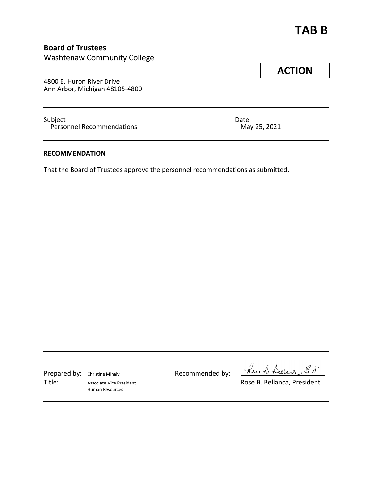# **TAB B**

# **Board of Trustees**

Washtenaw Community College

4800 E. Huron River Drive Ann Arbor, Michigan 48105-4800

Subject Date Date Date Date Date Decommendations by Date Date Date Date Date Date Date Decommendations and Date Decommendations of the Date Date Date Date Date Decommendations and Date Date Date Decommendations of the Date Personnel Recommendations

## **RECOMMENDATION**

That the Board of Trustees approve the personnel recommendations as submitted.

Prepared by: Christine Mihaly Recommended by:

Title: Associate Vice President Associate Vice President Associate Vice President Human Resources

have B. Bulance E. D.

# **ACTION**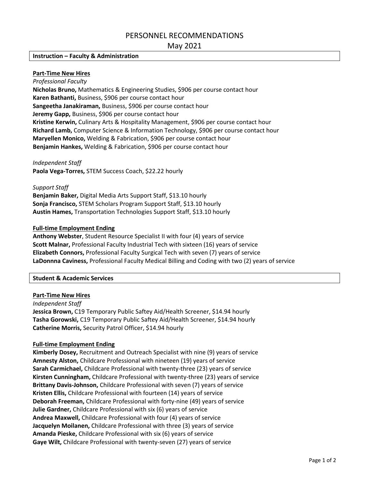# PERSONNEL RECOMMENDATIONS

## May 2021

#### **Instruction – Faculty & Administration**

#### **Part-Time New Hires**

*Professional Faculty* **Nicholas Bruno,** Mathematics & Engineering Studies, \$906 per course contact hour **Karen Bathanti,** Business, \$906 per course contact hour **Sangeetha Janakiraman,** Business, \$906 per course contact hour **Jeremy Gapp,** Business, \$906 per course contact hour **Kristine Kerwin,** Culinary Arts & Hospitality Management, \$906 per course contact hour **Richard Lamb,** Computer Science & Information Technology, \$906 per course contact hour **Maryellen Monico,** Welding & Fabrication, \$906 per course contact hour **Benjamin Hankes,** Welding & Fabrication, \$906 per course contact hour

*Independent Staff*

**Paola Vega-Torres,** STEM Success Coach, \$22.22 hourly

#### *Support Staff*

**Benjamin Baker,** Digital Media Arts Support Staff, \$13.10 hourly **Sonja Francisco,** STEM Scholars Program Support Staff, \$13.10 hourly **Austin Hames,** Transportation Technologies Support Staff, \$13.10 hourly

#### **Full-time Employment Ending**

**Anthony Webster**, Student Resource Specialist II with four (4) years of service **Scott Malnar,** Professional Faculty Industrial Tech with sixteen (16) years of service **Elizabeth Connors,** Professional Faculty Surgical Tech with seven (7) years of service **LaDonnna Caviness,** Professional Faculty Medical Billing and Coding with two (2) years of service

#### **Student & Academic Services**

#### **Part-Time New Hires**

*Independent Staff* **Jessica Brown,** C19 Temporary Public Saftey Aid/Health Screener, \$14.94 hourly **Tasha Gorowski,** C19 Temporary Public Saftey Aid/Health Screener, \$14.94 hourly **Catherine Morris,** Security Patrol Officer, \$14.94 hourly

#### **Full-time Employment Ending**

**Kimberly Dosey,** Recruitment and Outreach Specialist with nine (9) years of service **Amnesty Alston,** Childcare Professional with nineteen (19) years of service **Sarah Carmichael,** Childcare Professional with twenty-three (23) years of service **Kirsten Cunningham,** Childcare Professional with twenty-three (23) years of service **Brittany Davis-Johnson,** Childcare Professional with seven (7) years of service **Kristen Ellis,** Childcare Professional with fourteen (14) years of service **Deborah Freeman,** Childcare Professional with forty-nine (49) years of service **Julie Gardner,** Childcare Professional with six (6) years of service **Andrea Maxwell,** Childcare Professional with four (4) years of service **Jacquelyn Moilanen,** Childcare Professional with three (3) years of service **Amanda Pieske,** Childcare Professional with six (6) years of service **Gaye Wilt,** Childcare Professional with twenty-seven (27) years of service